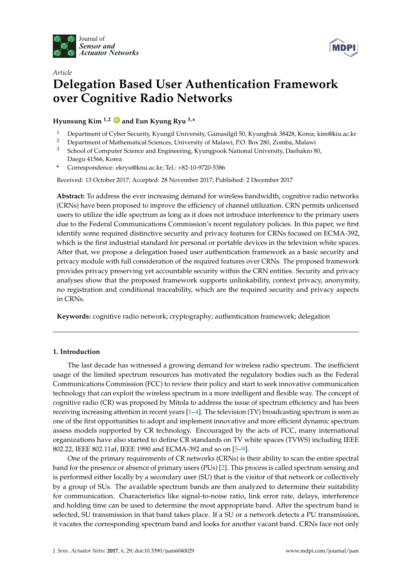



# *Article* **Delegation Based User Authentication Framework over Cognitive Radio Networks**

**Hyunsung Kim 1,2 [ID](https://orcid.org/0000-0002-7814-7454) and Eun Kyung Ryu 3,\***

- <sup>1</sup> Department of Cyber Security, Kyungil University, Gamasilgil 50, Kyungbuk 38428, Korea; kim@kiu.ac.kr
- <sup>2</sup> Department of Mathematical Sciences, University of Malawi, P.O. Box 280, Zomba, Malawi
- <sup>3</sup> School of Computer Science and Engineering, Kyungpook National University, Daehakro 80, Daegu 41566, Korea
- **\*** Correspondence: ekryu@knu.ac.kr; Tel.: +82-10-9720-5386

Received: 13 October 2017; Accepted: 28 November 2017; Published: 2 December 2017

**Abstract:** To address the ever increasing demand for wireless bandwidth, cognitive radio networks (CRNs) have been proposed to improve the efficiency of channel utilization. CRN permits unlicensed users to utilize the idle spectrum as long as it does not introduce interference to the primary users due to the Federal Communications Commission's recent regulatory policies. In this paper, we first identify some required distinctive security and privacy features for CRNs focused on ECMA-392, which is the first industrial standard for personal or portable devices in the television white spaces. After that, we propose a delegation based user authentication framework as a basic security and privacy module with full consideration of the required features over CRNs. The proposed framework provides privacy preserving yet accountable security within the CRN entities. Security and privacy analyses show that the proposed framework supports unlinkability, context privacy, anonymity, no registration and conditional traceability, which are the required security and privacy aspects in CRNs.

**Keywords:** cognitive radio network; cryptography; authentication framework; delegation

# **1. Introduction**

The last decade has witnessed a growing demand for wireless radio spectrum. The inefficient usage of the limited spectrum resources has motivated the regulatory bodies such as the Federal Communications Commission (FCC) to review their policy and start to seek innovative communication technology that can exploit the wireless spectrum in a more intelligent and flexible way. The concept of cognitive radio (CR) was proposed by Mitola to address the issue of spectrum efficiency and has been receiving increasing attention in recent years [\[1](#page-13-0)[–4\]](#page-13-1). The television (TV) broadcasting spectrum is seen as one of the first opportunities to adopt and implement innovative and more efficient dynamic spectrum assess models supported by CR technology. Encouraged by the acts of FCC, many international organizations have also started to define CR standards on TV white spaces (TVWS) including IEEE 802.22, IEEE 802.11af, IEEE 1990 and ECMA-392 and so on [\[5](#page-13-2)[–9\]](#page-13-3).

One of the primary requirements of CR networks (CRNs) is their ability to scan the entire spectral band for the presence or absence of primary users (PUs) [\[2\]](#page-13-4). This process is called spectrum sensing and is performed either locally by a secondary user (SU) that is the visitor of that network or collectively by a group of SUs. The available spectrum bands are then analyzed to determine their suitability for communication. Characteristics like signal-to-noise ratio, link error rate, delays, interference and holding time can be used to determine the most appropriate band. After the spectrum band is selected, SU transmission in that band takes place. If a SU or a network detects a PU transmission, it vacates the corresponding spectrum band and looks for another vacant band. CRNs face not only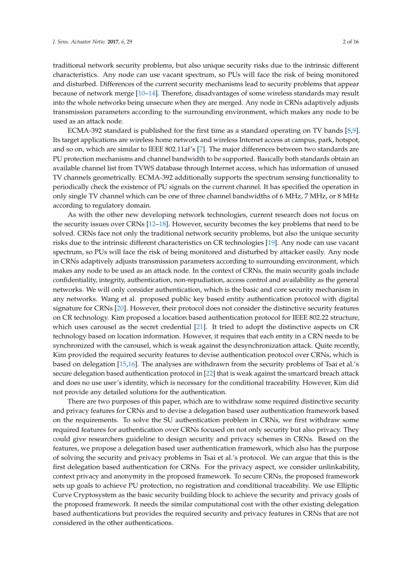traditional network security problems, but also unique security risks due to the intrinsic different characteristics. Any node can use vacant spectrum, so PUs will face the risk of being monitored and disturbed. Differences of the current security mechanisms lead to security problems that appear because of network merge [\[10–](#page-13-5)[14\]](#page-13-6). Therefore, disadvantages of some wireless standards may result into the whole networks being unsecure when they are merged. Any node in CRNs adaptively adjusts transmission parameters according to the surrounding environment, which makes any node to be used as an attack node.

ECMA-392 standard is published for the first time as a standard operating on TV bands [\[8,](#page-13-7)[9\]](#page-13-3). Its target applications are wireless home network and wireless Internet access at campus, park, hotspot, and so on, which are similar to IEEE 802.11af's [\[7\]](#page-13-8). The major differences between two standards are PU protection mechanisms and channel bandwidth to be supported. Basically both standards obtain an available channel list from TVWS database through Internet access, which has information of unused TV channels geometrically. ECMA-392 additionally supports the spectrum sensing functionality to periodically check the existence of PU signals on the current channel. It has specified the operation in only single TV channel which can be one of three channel bandwidths of 6 MHz, 7 MHz, or 8 MHz according to regulatory domain.

As with the other new developing network technologies, current research does not focus on the security issues over CRNs [\[12–](#page-13-9)[18\]](#page-13-10). However, security becomes the key problems that need to be solved. CRNs face not only the traditional network security problems, but also the unique security risks due to the intrinsic different characteristics on CR technologies [\[19\]](#page-13-11). Any node can use vacant spectrum, so PUs will face the risk of being monitored and disturbed by attacker easily. Any node in CRNs adaptively adjusts transmission parameters according to surrounding environment, which makes any node to be used as an attack node. In the context of CRNs, the main security goals include confidentiality, integrity, authentication, non-repudiation, access control and availability as the general networks. We will only consider authentication, which is the basic and core security mechanism in any networks. Wang et al. proposed public key based entity authentication protocol with digital signature for CRNs [\[20\]](#page-13-12). However, their protocol does not consider the distinctive security features on CR technology. Kim proposed a location based authentication protocol for IEEE 802.22 structure, which uses carousel as the secret credential [\[21\]](#page-13-13). It tried to adopt the distinctive aspects on CR technology based on location information. However, it requires that each entity in a CRN needs to be synchronized with the carousel, which is weak against the desynchronization attack. Quite recently, Kim provided the required security features to devise authentication protocol over CRNs, which is based on delegation [\[15,](#page-13-14)[16\]](#page-13-15). The analyses are withdrawn from the security problems of Tsai et al.'s secure delegation based authentication protocol in [\[22\]](#page-14-0) that is weak against the smartcard breach attack and does no use user's identity, which is necessary for the conditional traceability. However, Kim did not provide any detailed solutions for the authentication.

There are two purposes of this paper, which are to withdraw some required distinctive security and privacy features for CRNs and to devise a delegation based user authentication framework based on the requirements. To solve the SU authentication problem in CRNs, we first withdraw some required features for authentication over CRNs focused on not only security but also privacy. They could give researchers guideline to design security and privacy schemes in CRNs. Based on the features, we propose a delegation based user authentication framework, which also has the purpose of solving the security and privacy problems in Tsai et al.'s protocol. We can argue that this is the first delegation based authentication for CRNs. For the privacy aspect, we consider unlinkability, context privacy and anonymity in the proposed framework. To secure CRNs, the proposed framework sets up goals to achieve PU protection, no registration and conditional traceability. We use Elliptic Curve Cryptosystem as the basic security building block to achieve the security and privacy goals of the proposed framework. It needs the similar computational cost with the other existing delegation based authentications but provides the required security and privacy features in CRNs that are not considered in the other authentications.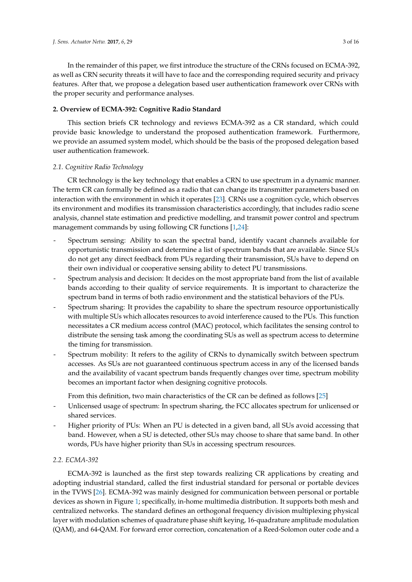In the remainder of this paper, we first introduce the structure of the CRNs focused on ECMA-392, as well as CRN security threats it will have to face and the corresponding required security and privacy features. After that, we propose a delegation based user authentication framework over CRNs with the proper security and performance analyses.

# **2. Overview of ECMA-392: Cognitive Radio Standard**

This section briefs CR technology and reviews ECMA-392 as a CR standard, which could provide basic knowledge to understand the proposed authentication framework. Furthermore, we provide an assumed system model, which should be the basis of the proposed delegation based user authentication framework.

# *2.1. Cognitive Radio Technology*

CR technology is the key technology that enables a CRN to use spectrum in a dynamic manner. The term CR can formally be defined as a radio that can change its transmitter parameters based on interaction with the environment in which it operates [\[23\]](#page-14-1). CRNs use a cognition cycle, which observes its environment and modifies its transmission characteristics accordingly, that includes radio scene analysis, channel state estimation and predictive modelling, and transmit power control and spectrum management commands by using following CR functions [\[1,](#page-13-0)[24\]](#page-14-2):

- Spectrum sensing: Ability to scan the spectral band, identify vacant channels available for opportunistic transmission and determine a list of spectrum bands that are available. Since SUs do not get any direct feedback from PUs regarding their transmission, SUs have to depend on their own individual or cooperative sensing ability to detect PU transmissions.
- Spectrum analysis and decision: It decides on the most appropriate band from the list of available bands according to their quality of service requirements. It is important to characterize the spectrum band in terms of both radio environment and the statistical behaviors of the PUs.
- Spectrum sharing: It provides the capability to share the spectrum resource opportunistically with multiple SUs which allocates resources to avoid interference caused to the PUs. This function necessitates a CR medium access control (MAC) protocol, which facilitates the sensing control to distribute the sensing task among the coordinating SUs as well as spectrum access to determine the timing for transmission.
- Spectrum mobility: It refers to the agility of CRNs to dynamically switch between spectrum accesses. As SUs are not guaranteed continuous spectrum access in any of the licensed bands and the availability of vacant spectrum bands frequently changes over time, spectrum mobility becomes an important factor when designing cognitive protocols.

From this definition, two main characteristics of the CR can be defined as follows [\[25\]](#page-14-3)

- Unlicensed usage of spectrum: In spectrum sharing, the FCC allocates spectrum for unlicensed or shared services.
- Higher priority of PUs: When an PU is detected in a given band, all SUs avoid accessing that band. However, when a SU is detected, other SUs may choose to share that same band. In other words, PUs have higher priority than SUs in accessing spectrum resources.

# *2.2. ECMA-392*

ECMA-392 is launched as the first step towards realizing CR applications by creating and adopting industrial standard, called the first industrial standard for personal or portable devices in the TVWS [\[26\]](#page-14-4). ECMA-392 was mainly designed for communication between personal or portable devices as shown in Figure [1;](#page-3-0) specifically, in-home multimedia distribution. It supports both mesh and centralized networks. The standard defines an orthogonal frequency division multiplexing physical layer with modulation schemes of quadrature phase shift keying, 16-quadrature amplitude modulation (QAM), and 64-QAM. For forward error correction, concatenation of a Reed-Solomon outer code and a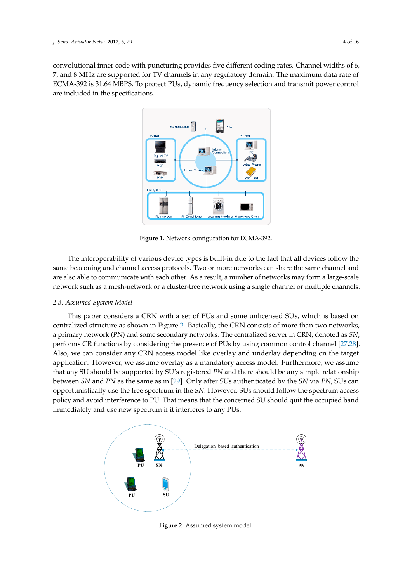<span id="page-3-0"></span>convolutional inner code with puncturing provides five different coding rates. Channel widths of 6, 7, and 8 MHz are supported for TV channels in any regulatory domain. The maximum data rate of ECMA-392 is 31.64 MBPS. To protect PUs, dynamic frequency selection and transmit power control are included in the specifications. *J. Sens. Actuator Netw.* **2017**, *6*, 29 4 of 15



**Figure 1.** Network configuration for ECMA-392.

same beaconing and channel access protocols. Two or more networks can share the same channel The interoperability of various device types is built-in due to the fact that all devices follow the same beaconing and channel access protocols. Two or more networks can share the same channel and are also able to communicate with each other. As a result, a number of networks may form a large-scale network such as a mesh-network or a cluster-tree network using a single channel or multiple channels.<br>

# 2.3. Assumed System Model **The internal source that all device types is built**-in due to the fact that all device

This paper considers a CRN with a set of PUs and some unlicensed SUs, which is based on centralized structure as shown in Figure [2.](#page-3-1) Basically, the CRN consists of more than two networks, a primary network (PN) and some secondary networks. The centralized server in CRN, denoted as *SN*,  $\sum_{i=1}^{n}$ performs CR functions by considering the presence of PUs by using common control channel [\[27,](#page-14-5)[28\]](#page-14-6). Also, we can consider any CRN access model like overlay and underlay depending on the target application. However, we assume overlay as a mandatory access model. Furthermore, we assume that any SU should be supported by SU's registered PN and there should be any simple relationship between SN and PN as the same as in [\[29\]](#page-14-7). Only after SUs authenticated by the SN via PN, SUs can immediately and use new spectrum if it interferes to any PUs. opportunistically use the free spectrum in the SN. However, SUs should follow the spectrum access policy and avoid interference to PU. That means that the concerned SU should quit the occupied band icture as snov  $\alpha$  centralized structure as shown in Figure 2. Basically, the CRN consists of  $\alpha$ and be bappened by be bregistered in tand ancie should be dry bimp a interference to PO. That means that the concerned 50 should quit the s

<span id="page-3-1"></span>

immediately and use new spectrum if  $\mathcal{L}$ 

**Figure 2.** Assumed system model.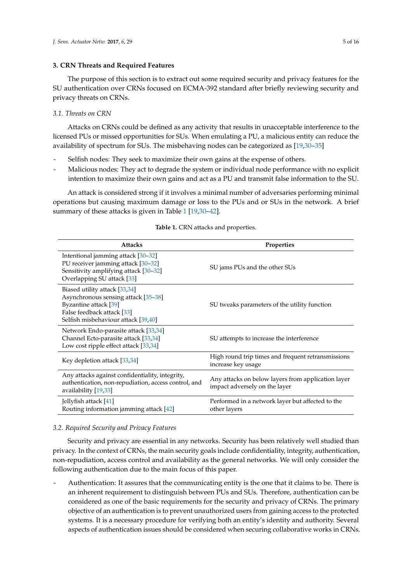# **3. CRN Threats and Required Features**

The purpose of this section is to extract out some required security and privacy features for the SU authentication over CRNs focused on ECMA-392 standard after briefly reviewing security and privacy threats on CRNs.

## *3.1. Threats on CRN*

Attacks on CRNs could be defined as any activity that results in unacceptable interference to the licensed PUs or missed opportunities for SUs. When emulating a PU, a malicious entity can reduce the availability of spectrum for SUs. The misbehaving nodes can be categorized as [\[19,](#page-13-11)[30](#page-14-8)[–35\]](#page-14-9)

- Selfish nodes: They seek to maximize their own gains at the expense of others.
- Malicious nodes: They act to degrade the system or individual node performance with no explicit intention to maximize their own gains and act as a PU and transmit false information to the SU.

An attack is considered strong if it involves a minimal number of adversaries performing minimal operations but causing maximum damage or loss to the PUs and or SUs in the network. A brief summary of these attacks is given in Table [1](#page-4-0) [\[19,](#page-13-11)[30–](#page-14-8)[42\]](#page-14-10).

<span id="page-4-0"></span>

| <b>Attacks</b>                                                                                                                                                     | Properties                                                                          |  |
|--------------------------------------------------------------------------------------------------------------------------------------------------------------------|-------------------------------------------------------------------------------------|--|
| Intentional jamming attack [30-32]<br>PU receiver jamming attack [30-32]<br>Sensitivity amplifying attack [30-32]<br>Overlapping SU attack [33]                    | SU jams PUs and the other SUs                                                       |  |
| Biased utility attack [33,34]<br>Asynchronous sensing attack [35–38]<br>Byzantine attack [39]<br>False feedback attack [33]<br>Selfish misbehaviour attack [39,40] | SU tweaks parameters of the utility function                                        |  |
| Network Endo-parasite attack [33,34]<br>Channel Ecto-parasite attack [33,34]<br>Low cost ripple effect attack [33,34]                                              | SU attempts to increase the interference                                            |  |
| Key depletion attack [33,34]                                                                                                                                       | High round trip times and frequent retransmissions<br>increase key usage            |  |
| Any attacks against confidentiality, integrity,<br>authentication, non-repudiation, access control, and<br>availability [19,33]                                    | Any attacks on below layers from application layer<br>impact adversely on the layer |  |
| Jellyfish attack [41]<br>Routing information jamming attack [42]                                                                                                   | Performed in a network layer but affected to the<br>other layers                    |  |

## **Table 1.** CRN attacks and properties.

## *3.2. Required Security and Privacy Features*

Security and privacy are essential in any networks. Security has been relatively well studied than privacy. In the context of CRNs, the main security goals include confidentiality, integrity, authentication, non-repudiation, access control and availability as the general networks. We will only consider the following authentication due to the main focus of this paper.

- Authentication: It assures that the communicating entity is the one that it claims to be. There is an inherent requirement to distinguish between PUs and SUs. Therefore, authentication can be considered as one of the basic requirements for the security and privacy of CRNs. The primary objective of an authentication is to prevent unauthorized users from gaining access to the protected systems. It is a necessary procedure for verifying both an entity's identity and authority. Several aspects of authentication issues should be considered when securing collaborative works in CRNs.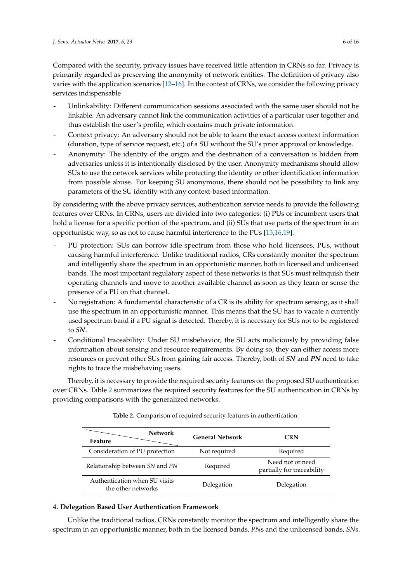Compared with the security, privacy issues have received little attention in CRNs so far. Privacy is primarily regarded as preserving the anonymity of network entities. The definition of privacy also varies with the application scenarios [\[12–](#page-13-9)[16\]](#page-13-15). In the context of CRNs, we consider the following privacy services indispensable

- Unlinkability: Different communication sessions associated with the same user should not be linkable. An adversary cannot link the communication activities of a particular user together and thus establish the user's profile, which contains much private information.
- Context privacy: An adversary should not be able to learn the exact access context information (duration, type of service request, etc.) of a SU without the SU's prior approval or knowledge.
- Anonymity: The identity of the origin and the destination of a conversation is hidden from adversaries unless it is intentionally disclosed by the user. Anonymity mechanisms should allow SUs to use the network services while protecting the identity or other identification information from possible abuse. For keeping SU anonymous, there should not be possibility to link any parameters of the SU identity with any context-based information.

By considering with the above privacy services, authentication service needs to provide the following features over CRNs. In CRNs, users are divided into two categories: (i) PUs or incumbent users that hold a license for a specific portion of the spectrum, and (ii) SUs that use parts of the spectrum in an opportunistic way, so as not to cause harmful interference to the PUs [\[15](#page-13-14)[,16](#page-13-15)[,19\]](#page-13-11).

- PU protection: SUs can borrow idle spectrum from those who hold licensees, PUs, without causing harmful interference. Unlike traditional radios, CRs constantly monitor the spectrum and intelligently share the spectrum in an opportunistic manner, both in licensed and unlicensed bands. The most important regulatory aspect of these networks is that SUs must relinquish their operating channels and move to another available channel as soon as they learn or sense the presence of a PU on that channel.
- No registration: A fundamental characteristic of a CR is its ability for spectrum sensing, as it shall use the spectrum in an opportunistic manner. This means that the SU has to vacate a currently used spectrum band if a PU signal is detected. Thereby, it is necessary for SUs not to be registered to *SN*.
- Conditional traceability: Under SU misbehavior, the SU acts maliciously by providing false information about sensing and resource requirements. By doing so, they can either access more resources or prevent other SUs from gaining fair access. Thereby, both of *SN* and *PN* need to take rights to trace the misbehaving users.

<span id="page-5-0"></span>Thereby, it is necessary to provide the required security features on the proposed SU authentication over CRNs. Table [2](#page-5-0) summarizes the required security features for the SU authentication in CRNs by providing comparisons with the generalized networks.

| <b>Network</b><br>Feature                           | <b>General Network</b> | <b>CRN</b>                                     |
|-----------------------------------------------------|------------------------|------------------------------------------------|
| Consideration of PU protection                      | Not required           | Required                                       |
| Relationship between SN and PN                      | Required               | Need not or need<br>partially for traceability |
| Authentication when SU visits<br>the other networks | Delegation             | Delegation                                     |

**Table 2.** Comparison of required security features in authentication.

# **4. Delegation Based User Authentication Framework**

Unlike the traditional radios, CRNs constantly monitor the spectrum and intelligently share the spectrum in an opportunistic manner, both in the licensed bands, *PN*s and the unlicensed bands, *SN*s.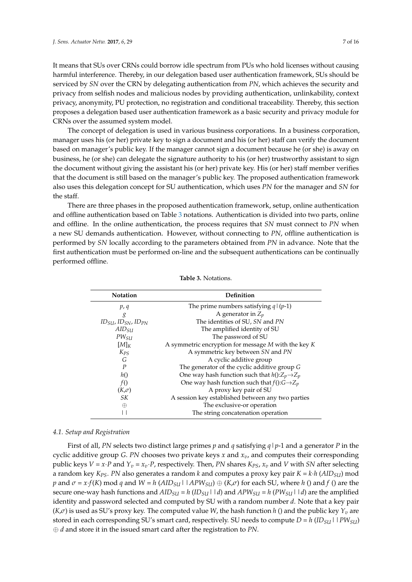It means that SUs over CRNs could borrow idle spectrum from PUs who hold licenses without causing harmful interference. Thereby, in our delegation based user authentication framework, SUs should be serviced by *SN* over the CRN by delegating authentication from *PN*, which achieves the security and privacy from selfish nodes and malicious nodes by providing authentication, unlinkability, context privacy, anonymity, PU protection, no registration and conditional traceability. Thereby, this section proposes a delegation based user authentication framework as a basic security and privacy module for CRNs over the assumed system model.

The concept of delegation is used in various business corporations. In a business corporation, manager uses his (or her) private key to sign a document and his (or her) staff can verify the document based on manager's public key. If the manager cannot sign a document because he (or she) is away on business, he (or she) can delegate the signature authority to his (or her) trustworthy assistant to sign the document without giving the assistant his (or her) private key. His (or her) staff member verifies that the document is still based on the manager's public key. The proposed authentication framework also uses this delegation concept for SU authentication, which uses *PN* for the manager and *SN* for the staff.

There are three phases in the proposed authentication framework, setup, online authentication and offline authentication based on Table [3](#page-6-0) notations. Authentication is divided into two parts, online and offline. In the online authentication, the process requires that *SN* must connect to *PN* when a new SU demands authentication. However, without connecting to *PN*, offline authentication is performed by *SN* locally according to the parameters obtained from *PN* in advance. Note that the first authentication must be performed on-line and the subsequent authentications can be continually performed offline.

<span id="page-6-0"></span>

| <b>Notation</b>    | Definition                                                  |
|--------------------|-------------------------------------------------------------|
| p, q               | The prime numbers satisfying $q/(p-1)$                      |
| g                  | A generator in $Z_p$                                        |
| $IDSU, IDSN, IDPN$ | The identities of SU, SN and PN                             |
| AID <sub>SU</sub>  | The amplified identity of SU                                |
| $PW_{SII}$         | The password of SU                                          |
| $[M]_K$            | A symmetric encryption for message $M$ with the key $K$     |
| $K_{PS}$           | A symmetric key between SN and PN                           |
| G                  | A cyclic additive group                                     |
| $\boldsymbol{P}$   | The generator of the cyclic additive group G                |
| h()                | One way hash function such that $h():Z_p \rightarrow Z_p$   |
| f()                | One way hash function such that $f()$ : $G \rightarrow Z_p$ |
| $(K,\sigma)$       | A proxy key pair of SU                                      |
| SK                 | A session key established between any two parties           |
| $\oplus$           | The exclusive-or operation                                  |
|                    | The string concatenation operation                          |

**Table 3.** Notations.

#### *4.1. Setup and Registration*

First of all, *PN* selects two distinct large primes *p* and *q* satisfying *q*|*p*-1 and a generator *P* in the cyclic additive group *G*. *PN* chooses two private keys *x* and *xv*, and computes their corresponding public keys  $V = x \cdot P$  and  $Y_v = x_v \cdot P$ , respectively. Then, *PN* shares  $K_{PS}$ ,  $x_v$  and *V* with *SN* after selecting a random key  $K_{PS}$ . *PN* also generates a random *k* and computes a proxy key pair  $K = k \cdot h (AID_{SU})$  mod *p* and  $\sigma = x \cdot f(K)$  mod *q* and  $W = h (AID_{SU} \mid APW_{SU}) \oplus (K,\sigma)$  for each SU, where *h* () and *f* () are the secure one-way hash functions and  $AID_{SU} = h (ID_{SU} \mid d)$  and  $APW_{SU} = h (PW_{SU} \mid d)$  are the amplified identity and password selected and computed by SU with a random number *d*. Note that a key pair  $(K,\sigma)$  is used as SU's proxy key. The computed value *W*, the hash function *h* () and the public key  $Y<sub>p</sub>$  are stored in each corresponding SU's smart card, respectively. SU needs to compute  $D = h (ID_{SUI} \mid PW_{SU})$ ⊕ *d* and store it in the issued smart card after the registration to *PN*.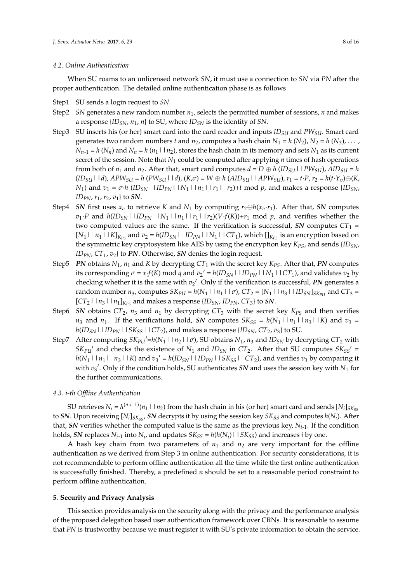#### *4.2. Online Authentication*

When SU roams to an unlicensed network *SN*, it must use a connection to *SN* via *PN* after the proper authentication. The detailed online authentication phase is as follows

- Step1 SU sends a login request to *SN*.
- Step2 *SN* generates a new random number *n*1, selects the permitted number of sessions, *n* and makes a response {*IDSN*, *n*1, *n*} to SU, where *IDSN* is the identity of *SN*.
- Step3 SU inserts his (or her) smart card into the card reader and inputs *IDSU* and *PWSU*. Smart card generates two random numbers *t* and  $n_2$ , computes a hash chain  $N_1 = h(N_2)$ ,  $N_2 = h(N_3)$ , ...,  $N_{n-1} = h(N_n)$  and  $N_n = h(n_1 \mid n_2)$ , stores the hash chain in its memory and sets  $N_1$  as its current secret of the session. Note that  $N_1$  could be computed after applying  $n$  times of hash operations from both of  $n_1$  and  $n_2$ . After that, smart card computes  $d = D \oplus h (ID_{SU} \mid IPW_{SU})$ ,  $AID_{SU} = h$  $(ID_{SU} \mid d)$ ,  $APW_{SU} = h (PW_{SU} \mid d)$ ,  $(K, \sigma) = W \oplus h (AID_{SU} \mid APW_{SU})$ ,  $r_1 = t \cdot P$ ,  $r_2 = h(t \cdot Y_v) \oplus (K, \sigma)$ *N*<sub>1</sub>) and  $v_1 = \sigma \cdot h$  (*ID<sub>SN</sub>* | *ID<sub>PN</sub>* | *IN*<sub>1</sub> | *In*<sub>1</sub> | *I*<sub>*r*1</sub> | *I*<sub>*r*2</sub>)+*t* mod *p*, and makes a response {*ID<sub>SN</sub>*, *ID*<sub>*PN*</sub>,  $r_1$ ,  $r_2$ ,  $v_1$ } to *SN*.
- Step4 *SN* first uses  $x_v$  to retrieve *K* and  $N_1$  by computing  $r_2 \oplus h(x_v \cdot r_1)$ . After that, *SN* computes  $v_1 \cdot P$  and  $h(ID_{SN} \mid ID_{PN} \mid N_1 \mid n_1 \mid r_1 \mid r_2) (V \cdot f(K)) + r_1 \mod p$ , and verifies whether the two computed values are the same. If the verification is successful, *SN* computes  $CT_1$  =  $[N_1| |n_1|| K]_{K_{PS}}$  and  $v_2 = h(ID_{SN}| ||ID_{PN}| ||N_1|| CT_1$ , which  $[]_{K_{PS}}$  is an encryption based on the symmetric key cryptosystem like AES by using the encryption key *KPS*, and sends {*IDSN*, *ID*<sub>*PN*</sub>,  $CT_1$ ,  $v_2$ } to *PN*. Otherwise, *SN* denies the login request.
- Step5 *PN* obtains  $N_1$ ,  $n_1$  and *K* by decrypting  $CT_1$  with the secret key  $K_{PS}$ . After that, *PN* computes its corresponding  $\sigma = x \cdot f(K)$  mod  $q$  and  $v_2' = h(ID_{SN} \mid ID_{PN} \mid IN_1 \mid CC_1)$ , and validates  $v_2$  by checking whether it is the same with  $v_2'$ . Only if the verification is successful, PN generates a random number  $n_3$ , computes  $SK_{PU} = h(N_1 \mid n_1 \mid \sigma)$ ,  $CT_2 = [N_1 \mid n_3 \mid \theta]$ ,  $S_{SW}$  and  $CT_3 =$  $[CT_2 \mid n_3 \mid n_1]_{K_{PS}}$  and makes a response  $\{ID_{SN}, ID_{PN}, CT_3\}$  to *SN*.
- Step6 *SN* obtains  $CT_2$ ,  $n_3$  and  $n_1$  by decrypting  $CT_3$  with the secret key  $K_{PS}$  and then verifies  $n_3$  and  $n_1$ . If the verifications hold, *SN* computes  $SK_{SS} = h(N_1 \mid n_1 \mid n_3 \mid K)$  and  $v_3 =$  $h(ID_{SN}$ | $ID_{PN}$ | $SK_{SS}$ | $CT_2$ ), and makes a response { $ID_{SN}$ ,  $CT_2$ ,  $v_3$ } to SU.
- Step7 After computing  $SK_{PU}$  =  $h(N_1 \mid n_2 \mid \sigma)$ , SU obtains  $N_1$ ,  $n_3$  and  $ID_{SN}$  by decrypting  $CT_2$  with  $SK_{PU}$ <sup> $\prime$ </sup> and checks the existence of  $N_1$  and  $ID_{SN}$  in  $CT_2$ . After that SU computes  $SK_{SS}$ <sup> $\prime$ </sup> =  $h(N_1 \mid n_1 \mid n_3 \mid K)$  and  $v_3' = h(ID_{SN} \mid ID_{PN} \mid SK_{SS} \mid CC_{2})$ , and verifies  $v_3$  by comparing it with  $v_3'$ . Only if the condition holds, SU authenticates SN and uses the session key with  $N_1$  for the further communications.

## *4.3. i-th Offline Authentication*

SU retrieves  $N_i = h^{(n-i+1)}(n_1 \mid n_2)$  from the hash chain in his (or her) smart card and sends  $[N_i]_{SK_{SS}}$ to *SN*. Upon receiving  $[N_i]_{SK_{SS}}$ , *SN* decrypts it by using the session key  $SK_{SS}$  and computes  $h(N_i)$ . After that, *SN* verifies whether the computed value is the same as the previous key, *Ni*-1. If the condition holds, *SN* replaces  $N_{i-1}$  into  $N_i$ , and updates  $SK_{SS} = h(h(N_i) \mid \mid SK_{SS})$  and increases *i* by one.

A hash key chain from two parameters of  $n_1$  and  $n_2$  are very important for the offline authentication as we derived from Step 3 in online authentication. For security considerations, it is not recommendable to perform offline authentication all the time while the first online authentication is successfully finished. Thereby, a predefined *n* should be set to a reasonable period constraint to perform offline authentication.

#### **5. Security and Privacy Analysis**

This section provides analysis on the security along with the privacy and the performance analysis of the proposed delegation based user authentication framework over CRNs. It is reasonable to assume that *PN* is trustworthy because we must register it with SU's private information to obtain the service.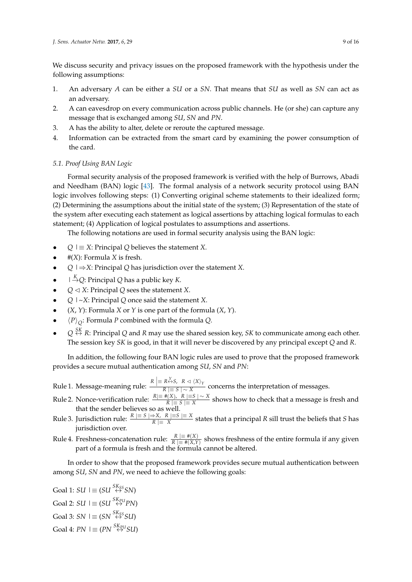We discuss security and privacy issues on the proposed framework with the hypothesis under the following assumptions:

- 1. An adversary *A* can be either a *SU* or a *SN*. That means that *SU* as well as *SN* can act as an adversary.
- 2. A can eavesdrop on every communication across public channels. He (or she) can capture any message that is exchanged among *SU*, *SN* and *PN*.
- 3. A has the ability to alter, delete or reroute the captured message.
- 4. Information can be extracted from the smart card by examining the power consumption of the card.

# *5.1. Proof Using BAN Logic*

Formal security analysis of the proposed framework is verified with the help of Burrows, Abadi and Needham (BAN) logic [\[43\]](#page-14-18). The formal analysis of a network security protocol using BAN logic involves following steps: (1) Converting original scheme statements to their idealized form; (2) Determining the assumptions about the initial state of the system; (3) Representation of the state of the system after executing each statement as logical assertions by attaching logical formulas to each statement; (4) Application of logical postulates to assumptions and assertions.

The following notations are used in formal security analysis using the BAN logic:

- $Q \mid \equiv X$ : Principal *Q* believes the statement *X*.
- #(*X*): Formula *X* is fresh.
- *Q* |⇒*X*: Principal *Q* has jurisdiction over the statement *X*.
- $\Box \stackrel{K}{\rightarrow} Q$ : Principal *Q* has a public key *K*.
- $Q \triangleleft X$ : Principal  $Q$  sees the statement *X*.
- *Q* |~*X*: Principal *Q* once said the statement *X*.
- (*X*, *Y*): Formula *X* or *Y* is one part of the formula (*X*, *Y*).
- $\langle P \rangle_{Q}$ : Formula *P* combined with the formula *Q*.
- $Q \stackrel{SK}{\leftrightarrow} R$ : Principal *Q* and *R* may use the shared session key, *SK* to communicate among each other. The session key *SK* is good, in that it will never be discovered by any principal except *Q* and *R*.

In addition, the following four BAN logic rules are used to prove that the proposed framework provides a secure mutual authentication among *SU*, *SN* and *PN*:

- $\mathbb{R}$ ule 1. Message-meaning rule:  $\frac{R \mid R \times S, R \triangleleft \langle X \rangle_Y}{R \mid S \mid S \times X}$ *R*  $|\equiv$  *S* | ∼ *X* concerns the interpretation of messages.
- Rule 2. Nonce-verification rule:  $\frac{R|\equiv \#(X), R}{R|\equiv S|} \frac{1-\times X}{|X|}$  shows how to check that a message is fresh and that the sender believes so as well.
- Rule 3. Jurisdiction rule:  $\frac{R \mid x \mid S \mid X, R \mid S}{R \mid X}$  states that a principal *R* sill trust the beliefs that *S* has jurisdiction over.
- Rule 4. Freshness-concatenation rule:  $\frac{R}{R} \equiv \frac{\#(X)}{\#(X,Y)}$  shows freshness of the entire formula if any given part of a formula is fresh and the formula cannot be altered.

In order to show that the proposed framework provides secure mutual authentication between among *SU*, *SN* and *PN*, we need to achieve the following goals:

 $Goal 1: SU \rightrightarrows (SU \stackrel{SK_{SS}}{\leftrightarrow} SN)$ Goal 2:  $SU \rvert \equiv (SU \stackrel{SK_{PU}}{\leftrightarrow} PN)$ Goal 3:  $SN \rvert \equiv (SN \overset{SK_{SS}}{\leftrightarrow} SU)$ Goal 4:  $PN \rvert \equiv (PN \overset{SK_{PU}}{\leftrightarrow} SU)$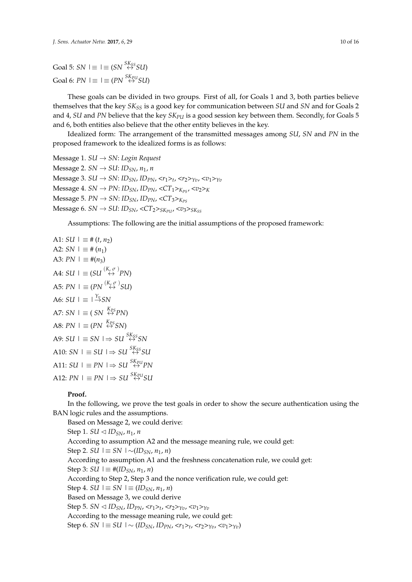These goals can be divided in two groups. First of all, for Goals 1 and 3, both parties believe themselves that the key *SKSS* is a good key for communication between *SU* and *SN* and for Goals 2 and 4, *SU* and *PN* believe that the key *SKPU* is a good session key between them. Secondly, for Goals 5 and 6, both entities also believe that the other entity believes in the key.

Idealized form: The arrangement of the transmitted messages among *SU*, *SN* and *PN* in the proposed framework to the idealized forms is as follows:

Message 1. *SU* → *SN*: *Login Request*  $Message 2. SN \rightarrow SU: ID<sub>SN</sub>, n<sub>1</sub>, n$ Message 3. *SU* → *SN*: *IDSN*, *IDPN*, <*r*1>*<sup>t</sup>* , <*r*2>*Yv*, <*v*1>*Yv*  $Message 4. SN \rightarrow PN: ID_{SN}, ID_{PN}, \langle CT_1\rangle_{K_{PS}}, \langle v_2\rangle_{K}$  $Message 5. PN \rightarrow SN: ID_{SN}, ID_{PN},  $CT_3 >_{K_{PS}}$$  $Message 6. SN \rightarrow SU: ID_{SN}$ ,  $\langle CT_2 \rangle_{SK_{PU}}$ ,  $\langle v_3 \rangle_{SK_{SS}}$ 

Assumptions: The following are the initial assumptions of the proposed framework:

A1: 
$$
SU \rvert \equiv # (t, n_2)
$$
  
\nA2:  $SN \rvert \equiv # (n_1)$   
\nA3:  $PN \rvert \equiv # (n_3)$   
\nA4:  $SU \rvert \equiv (SU \xrightarrow{(K_c \sigma)} PN)$   
\nA5:  $PN \rvert \equiv (PN \xrightarrow{(K_c \sigma)} SU)$   
\nA6:  $SU \rvert \equiv \rvert \xrightarrow{Y_{\phi}} SN$   
\nA7:  $SN \rvert \equiv (SN \xrightarrow{K_{PS}} PN)$   
\nA8:  $PN \rvert \equiv (PN \xrightarrow{K_{PS}} SN)$   
\nA9:  $SU \rvert \equiv SN \rvert \Rightarrow SU \xrightarrow{SK_{S}} SN$   
\nA10:  $SN \rvert \equiv SU \rvert \Rightarrow SU \xrightarrow{SK_{S}} SU$   
\nA11:  $SU \rvert \equiv PN \rvert \Rightarrow SU \xrightarrow{SK_{N}} N$   
\nA12:  $PN \rvert \equiv PN \rvert \Rightarrow SU \xrightarrow{SK_{N}} N$ 

#### **Proof.**

In the following, we prove the test goals in order to show the secure authentication using the BAN logic rules and the assumptions.

Based on Message 2, we could derive: Step 1. *SU*  $\triangleleft$  *ID*<sub>*SN*</sub>,  $n_1$ ,  $n_2$ According to assumption A2 and the message meaning rule, we could get: *Step 2. <i>SU*  $\vert$   $\equiv$  *SN*  $\vert \sim$ (*IDSN*, *n*<sub>1</sub>, *n*) According to assumption A1 and the freshness concatenation rule, we could get: *Step 3: <i>SU*  $\vert$  ≡ #(*ID<sub>SN</sub>*, *n*<sub>1</sub>, *n*) According to Step 2, Step 3 and the nonce verification rule, we could get:  $Step 4. SU \leq SN \leq (ID_{SN}, n_1, n)$ Based on Message 3, we could derive  $\text{Step 5. } SN \triangleleft ID_{SN}, ID_{PN}, \langle r_1 \rangle_t, \langle r_2 \rangle_{Yv}, \langle v_1 \rangle_{Yv}$ According to the message meaning rule, we could get: Step 6. *SN*  $\vert$  ≡ *SU*  $\vert \sim (ID_{SN}, ID_{PN}, *r*<sub>1</sub> > *t*, *r*<sub>2</sub> > *γ*<sub>v</sub>, *v*<sub>1</sub> > *γ*<sub>v</sub>)$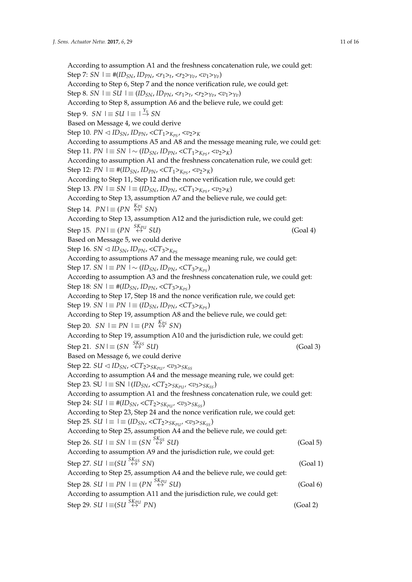According to assumption A1 and the freshness concatenation rule, we could get: Step 7: *SN* |≡ #(*IDSN*, *IDPN*, <*r*1>*<sup>t</sup>* , <*r*2>*Yv*, <*v*1>*Yv*) According to Step 6, Step 7 and the nonce verification rule, we could get: Step 8. *SN*  $\vert$  ≡ *SU*  $\vert$  ≡ (*ID<sub>SN</sub>*, *ID<sub>PN</sub>*, <*r*<sub>1</sub>><sub>*t*</sub>, <*r*<sub>2</sub>><sub>*Yv*</sub>, <*v*<sub>1</sub>><sub>*Yv*</sub>) According to Step 8, assumption A6 and the believe rule, we could get:  $Step 9. SN \mid \equiv SU \mid \equiv \mid \frac{Y_v}{\rightarrow} SN$ Based on Message 4, we could derive  $Step 10. PN \triangleleft ID_{SN}$ ,  $ID_{PN} \triangleleft CT_1 >_{K_{PS}}$ ,  $\langle v_2 \rangle_{K}$ According to assumptions A5 and A8 and the message meaning rule, we could get: Step 11. *PN*  $\vert$  ≡ *SN*  $\vert \sim (ID_{SN}, ID_{PN}, \langle CT_1 >_{K_{PS}}, \langle v_2 >_K \rangle)$ According to assumption A1 and the freshness concatenation rule, we could get:  $Step 12: PN \leq #(ID_{SN}, ID_{PN}, \langle CT_1 \rangle_{K_{PS}}, \langle v_2 \rangle_{K})$ According to Step 11, Step 12 and the nonce verification rule, we could get:  $\text{Step 13.} \ \text{PN} \ \text{I} \equiv \text{SN} \ \text{I} \equiv (\text{ID}_{\text{SN}}, \text{ID}_{\text{PN}}, \text{CCT}_1 \text{>}_{\text{K}_{\text{PS}}}, \text{Z} \text{Z}_2 \text{>}_{\text{K}})$ According to Step 13, assumption A7 and the believe rule, we could get:  $Step 14. \ \ PN \mid \equiv (PN \stackrel{K_{PS}}{\leftrightarrow} SN)$ According to Step 13, assumption A12 and the jurisdiction rule, we could get:  $Step 15. PN \equiv (PN \overset{SK_{PU}}{\leftrightarrow} SU)$ ↔*PU SU*) (Goal 4) Based on Message 5, we could derive Step 16. *SN*  $\triangleleft$  *ID<sub>SN</sub>*, *ID<sub>PN</sub>*,  $\angle$ CT<sub>3</sub>><sub>*K<sub>PS</sub>*</sub> According to assumptions A7 and the message meaning rule, we could get: Step 17. *SN*  $\vert$  ≡ *PN*  $\vert \sim$  (*ID<sub>SN</sub>*, *ID<sub>PN</sub>*, <*CT*<sub>3</sub>><sub>*K<sub>PS</sub>*</sub>) According to assumption A3 and the freshness concatenation rule, we could get:  $Step 18: SN \leq \#(ID_{SN}, ID_{PN}, \langle CT_3\rangle_{K_{PC}})$ According to Step 17, Step 18 and the nonce verification rule, we could get: Step 19. *SN*  $\vert$  ≡ *PN*  $\vert$  ≡ (*ID<sub>SN</sub>*, *ID<sub>PN</sub>*, <*CT*<sub>3</sub>><sub>*K<sub>PS</sub>*</sub>) According to Step 19, assumption A8 and the believe rule, we could get:  $Step 20. SN \mid \equiv PN \mid \equiv (PN \stackrel{K_{PS}}{\leftrightarrow} SN)$ According to Step 19, assumption A10 and the jurisdiction rule, we could get:  $Step 21. SN \equiv (SN \stackrel{SK_{SS}}{\leftrightarrow} SU)$  (Goal 3) Based on Message 6, we could derive  $Step 22. SU \triangleleft ID_{SN}$ ,  $\langle CT_2 \rangle_{SK_{PUI}}$ ,  $\langle v_3 \rangle_{SK_{SS}}$ According to assumption A4 and the message meaning rule, we could get: Step 23. SU  $\vert$  ≡ SN  $\vert$  (*ID<sub>SN</sub>*, <*CT*<sub>2</sub>><sub>*SK<sub>PU</sub>*</sub>, <*v*<sub>3</sub>><sub>*SK*<sub>*SS*</sub></sub>) According to assumption A1 and the freshness concatenation rule, we could get:  $Step 24: SU \leq \#(ID_{SN}, \langle CT_2 \rangle_{SK_{PUI}}, \langle v_3 \rangle_{SK_{SS}})$ According to Step 23, Step 24 and the nonce verification rule, we could get:  $Step 25. SU \leq \equiv \left( {ID_{SN}},{<}CT_2{>}_{SK_{PUI}}{}<}v_3{>}_{SK_{SS}} \right)$ According to Step 25, assumption A4 and the believe rule, we could get:  $Step 26. SU \leq SN \leq (SN \overset{SK_{SS}}{\leftrightarrow} SU)$ ↔*SS SU*) (Goal 5) According to assumption A9 and the jurisdiction rule, we could get:  $Step 27. SU \stackrel{\leq}{\leftrightarrow} SU(5)$  (Goal 1) According to Step 25, assumption A4 and the believe rule, we could get:  $Step 28. SU \mid \equiv PN \mid \equiv (PN \stackrel{SK_{PU}}{\leftrightarrow} SU)$  (Goal 6) According to assumption A11 and the jurisdiction rule, we could get:  $Step 29. SU \leq (SUI \overset{SK_{PU}}{\leftrightarrow} PN)$  (Goal 2)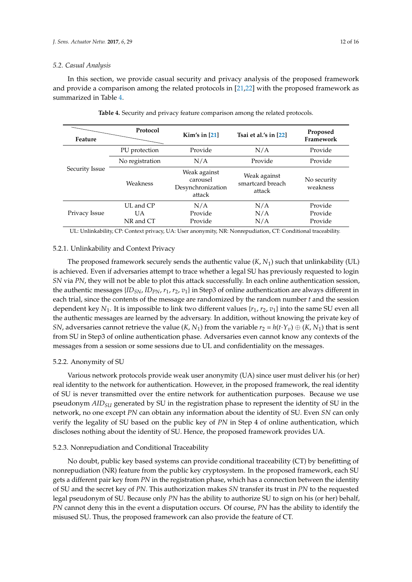#### *5.2. Casual Analysis*

In this section, we provide casual security and privacy analysis of the proposed framework and provide a comparison among the related protocols in [\[21](#page-13-13)[,22\]](#page-14-0) with the proposed framework as summarized in Table [4.](#page-11-0)

<span id="page-11-0"></span>

| Feature        | Protocol                     | Kim's in $[21]$                                         | Tsai et al.'s in $[22]$                    | Proposed<br>Framework         |
|----------------|------------------------------|---------------------------------------------------------|--------------------------------------------|-------------------------------|
| Security Issue | PU protection                | Provide                                                 | N/A                                        | Provide                       |
|                | No registration              | N/A                                                     | Provide                                    | Provide                       |
|                | Weakness                     | Weak against<br>carousel<br>Desynchronization<br>attack | Weak against<br>smartcard breach<br>attack | No security<br>weakness       |
| Privacy Issue  | UL and CP<br>UA<br>NR and CT | N/A<br>Provide<br>Provide                               | N/A<br>N/A<br>N/A                          | Provide<br>Provide<br>Provide |

**Table 4.** Security and privacy feature comparison among the related protocols.

UL: Unlinkability, CP: Context privacy, UA: User anonymity, NR: Nonrepudiation, CT: Conditional traceability.

#### 5.2.1. Unlinkability and Context Privacy

The proposed framework securely sends the authentic value (*K*, *N*1) such that unlinkability (UL) is achieved. Even if adversaries attempt to trace whether a legal SU has previously requested to login *SN* via *PN*, they will not be able to plot this attack successfully. In each online authentication session, the authentic messages  ${ID_{SN}}$ ,  $ID_{PN}$ ,  $r_1$ ,  $r_2$ ,  $v_1$ } in Step3 of online authentication are always different in each trial, since the contents of the message are randomized by the random number *t* and the session dependent key  $N_1$ . It is impossible to link two different values  $\{r_1, r_2, v_1\}$  into the same SU even all the authentic messages are learned by the adversary. In addition, without knowing the private key of *SN*, adversaries cannot retrieve the value  $(K, N_1)$  from the variable  $r_2 = h(t \cdot Y_v) \oplus (K, N_1)$  that is sent from SU in Step3 of online authentication phase. Adversaries even cannot know any contexts of the messages from a session or some sessions due to UL and confidentiality on the messages.

#### 5.2.2. Anonymity of SU

Various network protocols provide weak user anonymity (UA) since user must deliver his (or her) real identity to the network for authentication. However, in the proposed framework, the real identity of SU is never transmitted over the entire network for authentication purposes. Because we use pseudonym *AIDSU* generated by SU in the registration phase to represent the identity of SU in the network, no one except *PN* can obtain any information about the identity of SU. Even *SN* can only verify the legality of SU based on the public key of *PN* in Step 4 of online authentication, which discloses nothing about the identity of SU. Hence, the proposed framework provides UA.

#### 5.2.3. Nonrepudiation and Conditional Traceability

No doubt, public key based systems can provide conditional traceability (CT) by benefitting of nonrepudiation (NR) feature from the public key cryptosystem. In the proposed framework, each SU gets a different pair key from *PN* in the registration phase, which has a connection between the identity of SU and the secret key of *PN*. This authorization makes *SN* transfer its trust in *PN* to the requested legal pseudonym of SU. Because only *PN* has the ability to authorize SU to sign on his (or her) behalf, *PN* cannot deny this in the event a disputation occurs. Of course, *PN* has the ability to identify the misused SU. Thus, the proposed framework can also provide the feature of CT.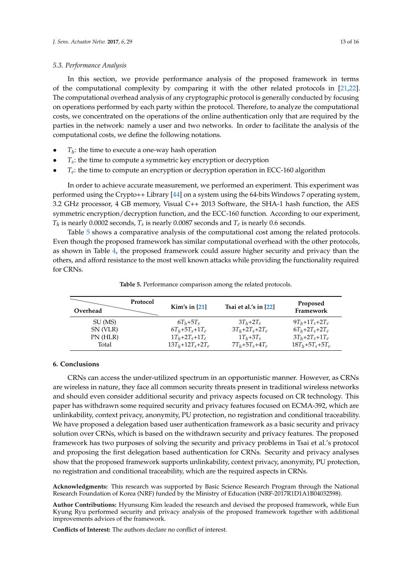#### *5.3. Performance Analysis*

In this section, we provide performance analysis of the proposed framework in terms of the computational complexity by comparing it with the other related protocols in [\[21,](#page-13-13)[22\]](#page-14-0). The computational overhead analysis of any cryptographic protocol is generally conducted by focusing on operations performed by each party within the protocol. Therefore, to analyze the computational costs, we concentrated on the operations of the online authentication only that are required by the parties in the network: namely a user and two networks. In order to facilitate the analysis of the computational costs, we define the following notations.

- $\bullet$   $T_h$ : the time to execute a one-way hash operation
- *T<sup>s</sup>* : the time to compute a symmetric key encryption or decryption
- *T<sub>e</sub>*: the time to compute an encryption or decryption operation in ECC-160 algorithm

In order to achieve accurate measurement, we performed an experiment. This experiment was performed using the Crypto++ Library [\[44\]](#page-15-0) on a system using the 64-bits Windows 7 operating system, 3.2 GHz processor, 4 GB memory, Visual C++ 2013 Software, the SHA-1 hash function, the AES symmetric encryption/decryption function, and the ECC-160 function. According to our experiment,  $T_h$  is nearly 0.0002 seconds,  $T_s$  is nearly 0.0087 seconds and  $T_e$  is nearly 0.6 seconds.

Table [5](#page-12-0) shows a comparative analysis of the computational cost among the related protocols. Even though the proposed framework has similar computational overhead with the other protocols, as shown in Table [4,](#page-11-0) the proposed framework could assure higher security and privacy than the others, and afford resistance to the most well known attacks while providing the functionality required for CRNs.

<span id="page-12-0"></span>

| Overhead | Protocol | Kim's in $[21]$        | Tsai et al.'s in $[22]$ | Proposed<br>Framework |
|----------|----------|------------------------|-------------------------|-----------------------|
| SU (MS)  |          | $6T_h+5T_s$            | $3T_h+2T_e$             | $9T_h + 1T_s + 2T_e$  |
| SN (VLR) |          | $6T_h + 5T_s + 1T_e$   | $3T_h + 2T_s + 2T_e$    | $6T_h + 2T_s + 2T_e$  |
| PN (HLR) |          | $1T_h + 2T_s + 1T_e$   | $1T_h+3T_s$             | $3T_h + 2T_s + 1T_e$  |
| Total    |          | $13T_h + 12T_s + 2T_e$ | $7T_h + 5T_s + 4T_e$    | $18T_h + 5T_s + 5T_e$ |

**Table 5.** Performance comparison among the related protocols.

#### **6. Conclusions**

CRNs can access the under-utilized spectrum in an opportunistic manner. However, as CRNs are wireless in nature, they face all common security threats present in traditional wireless networks and should even consider additional security and privacy aspects focused on CR technology. This paper has withdrawn some required security and privacy features focused on ECMA-392, which are unlinkability, context privacy, anonymity, PU protection, no registration and conditional traceability. We have proposed a delegation based user authentication framework as a basic security and privacy solution over CRNs, which is based on the withdrawn security and privacy features. The proposed framework has two purposes of solving the security and privacy problems in Tsai et al.'s protocol and proposing the first delegation based authentication for CRNs. Security and privacy analyses show that the proposed framework supports unlinkability, context privacy, anonymity, PU protection, no registration and conditional traceability, which are the required aspects in CRNs.

**Acknowledgments:** This research was supported by Basic Science Research Program through the National Research Foundation of Korea (NRF) funded by the Ministry of Education (NRF-2017R1D1A1B04032598).

**Author Contributions:** Hyunsung Kim leaded the research and devised the proposed framework, while Eun Kyung Ryu performed security and privacy analysis of the proposed framework together with additional improvements advices of the framework.

**Conflicts of Interest:** The authors declare no conflict of interest.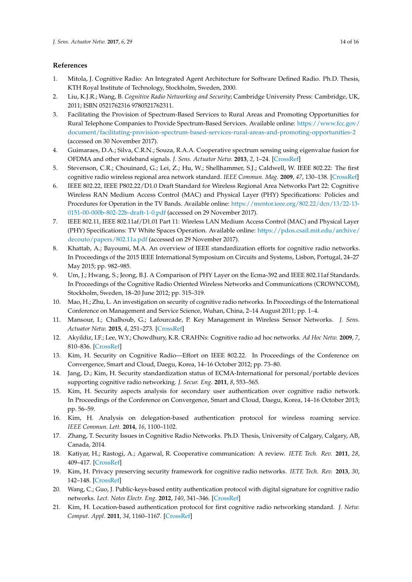# **References**

- <span id="page-13-0"></span>1. Mitola, J. Cognitive Radio: An Integrated Agent Architecture for Software Defined Radio. Ph.D. Thesis, KTH Royal Institute of Technology, Stockholm, Sweden, 2000.
- <span id="page-13-4"></span>2. Liu, K.J.R.; Wang, B. *Cognitive Radio Networking and Security*; Cambridge University Press: Cambridge, UK, 2011; ISBN 0521762316 9780521762311.
- 3. Facilitating the Provision of Spectrum-Based Services to Rural Areas and Promoting Opportunities for Rural Telephone Companies to Provide Spectrum-Based Services. Available online: [https://www.fcc.gov/](https://www.fcc.gov/document/facilitating-provision-spectrum-based-services-rural-areas-and-promoting-opportunities-2) [document/facilitating-provision-spectrum-based-services-rural-areas-and-promoting-opportunities-2](https://www.fcc.gov/document/facilitating-provision-spectrum-based-services-rural-areas-and-promoting-opportunities-2) (accessed on 30 November 2017).
- <span id="page-13-1"></span>4. Guimaraes, D.A.; Silva, C.R.N.; Souza, R.A.A. Cooperative spectrum sensing using eigenvalue fusion for OFDMA and other wideband signals. *J. Sens. Actuator Netw.* **2013**, *2*, 1–24. [\[CrossRef\]](http://dx.doi.org/10.3390/jsan2010001)
- <span id="page-13-2"></span>5. Stevenson, C.R.; Chouinard, G.; Lei, Z.; Hu, W.; Shellhammer, S.J.; Caldwell, W. IEEE 802.22: The first cognitive radio wireless regional area network standard. *IEEE Commun. Mag.* **2009**, *47*, 130–138. [\[CrossRef\]](http://dx.doi.org/10.1109/MCOM.2009.4752688)
- 6. IEEE 802.22, IEEE P802.22/D1.0 Draft Standard for Wireless Regional Area Networks Part 22: Cognitive Wireless RAN Medium Access Control (MAC) and Physical Layer (PHY) Specifications: Policies and Procedures for Operation in the TV Bands. Available online: [https://mentor.ieee.org/802.22/dcn/13/22-13-](https://mentor.ieee.org/802.22/dcn/13/22-13-0151-00-000b-802-22b-draft-1-0.pdf) [0151-00-000b-802-22b-draft-1-0.pdf](https://mentor.ieee.org/802.22/dcn/13/22-13-0151-00-000b-802-22b-draft-1-0.pdf) (accessed on 29 November 2017).
- <span id="page-13-8"></span>7. IEEE 802.11, IEEE 802.11af/D1.01 Part 11: Wireless LAN Medium Access Control (MAC) and Physical Layer (PHY) Specifications: TV White Spaces Operation. Available online: [https://pdos.csail.mit.edu/archive/](https://pdos.csail.mit.edu/archive/decouto/papers/802.11a.pdf) [decouto/papers/802.11a.pdf](https://pdos.csail.mit.edu/archive/decouto/papers/802.11a.pdf) (accessed on 29 November 2017).
- <span id="page-13-7"></span>8. Khattab, A.; Bayoumi, M.A. An overview of IEEE standardization efforts for cognitive radio networks. In Proceedings of the 2015 IEEE International Symposium on Circuits and Systems, Lisbon, Portugal, 24–27 May 2015; pp. 982–985.
- <span id="page-13-3"></span>9. Um, J.; Hwang, S.; Jeong, B.J. A Comparison of PHY Layer on the Ecma-392 and IEEE 802.11af Standards. In Proceedings of the Cognitive Radio Oriented Wireless Networks and Communications (CROWNCOM), Stockholm, Sweden, 18–20 June 2012; pp. 315–319.
- <span id="page-13-5"></span>10. Mao, H.; Zhu, L. An investigation on security of cognitive radio networks. In Proceedings of the International Conference on Management and Service Science, Wuhan, China, 2–14 August 2011; pp. 1–4.
- 11. Mansour, I.; Chalhoub, G.; Lafourcade, P. Key Management in Wireless Sensor Networks. *J. Sens. Actuator Netw.* **2015**, *4*, 251–273. [\[CrossRef\]](http://dx.doi.org/10.3390/jsan4030251)
- <span id="page-13-9"></span>12. Akyildiz, I.F.; Lee, W.Y.; Chowdhury, K.R. CRAHNs: Cognitive radio ad hoc networks. *Ad Hoc Netw.* **2009**, *7*, 810–836. [\[CrossRef\]](http://dx.doi.org/10.1016/j.adhoc.2009.01.001)
- 13. Kim, H. Security on Cognitive Radio—Effort on IEEE 802.22. In Proceedings of the Conference on Convergence, Smart and Cloud, Daegu, Korea, 14–16 October 2012; pp. 73–80.
- <span id="page-13-6"></span>14. Jang, D.; Kim, H. Security standardization status of ECMA-International for personal/portable devices supporting cognitive radio networking. *J. Secur. Eng.* **2011**, *8*, 553–565.
- <span id="page-13-14"></span>15. Kim, H. Security aspects analysis for secondary user authentication over cognitive radio network. In Proceedings of the Conference on Convergence, Smart and Cloud, Daegu, Korea, 14–16 October 2013; pp. 56–59.
- <span id="page-13-15"></span>16. Kim, H. Analysis on delegation-based authentication protocol for wireless roaming service. *IEEE Commun. Lett.* **2014**, *16*, 1100–1102.
- 17. Zhang, T. Security Issues in Cognitive Radio Networks. Ph.D. Thesis, University of Calgary, Calgary, AB, Canada, 2014.
- <span id="page-13-10"></span>18. Katiyar, H.; Rastogi, A.; Agarwal, R. Cooperative communication: A review. *IETE Tech. Rev.* **2011**, *28*, 409–417. [\[CrossRef\]](http://dx.doi.org/10.4103/0256-4602.85974)
- <span id="page-13-11"></span>19. Kim, H. Privacy preserving security framework for cognitive radio networks. *IETE Tech. Rev.* **2013**, *30*, 142–148. [\[CrossRef\]](http://dx.doi.org/10.4103/0256-4602.110553)
- <span id="page-13-12"></span>20. Wang, C.; Guo, J. Public-keys-based entity authentication protocol with digital signature for cognitive radio networks. *Lect. Notes Electr. Eng.* **2012**, *140*, 341–346. [\[CrossRef\]](http://dx.doi.org/10.1007/978-3-642-27296-7_53)
- <span id="page-13-13"></span>21. Kim, H. Location-based authentication protocol for first cognitive radio networking standard. *J. Netw. Comput. Appl.* **2011**, *34*, 1160–1167. [\[CrossRef\]](http://dx.doi.org/10.1016/j.jnca.2010.12.017)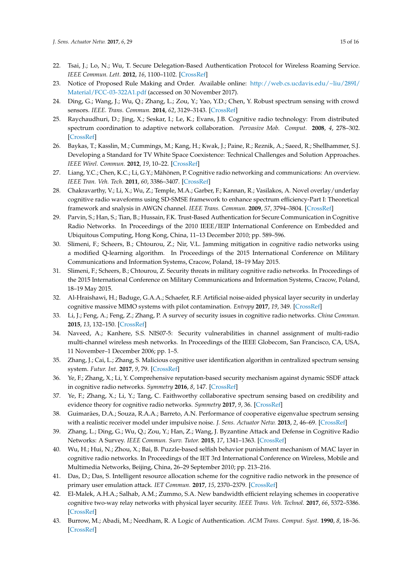- <span id="page-14-0"></span>22. Tsai, J.; Lo, N.; Wu, T. Secure Delegation-Based Authentication Protocol for Wireless Roaming Service. *IEEE Commun. Lett.* **2012**, *16*, 1100–1102. [\[CrossRef\]](http://dx.doi.org/10.1109/LCOMM.2012.052112.120525)
- <span id="page-14-1"></span>23. Notice of Proposed Rule Making and Order. Available online: [http://web.cs.ucdavis.edu/~liu/289I/](http://web.cs.ucdavis.edu/~liu/289I/Material/FCC-03-322A1.pdf) [Material/FCC-03-322A1.pdf](http://web.cs.ucdavis.edu/~liu/289I/Material/FCC-03-322A1.pdf) (accessed on 30 November 2017).
- <span id="page-14-2"></span>24. Ding, G.; Wang, J.; Wu, Q.; Zhang, L.; Zou, Y.; Yao, Y.D.; Chen, Y. Robust spectrum sensing with crowd sensors. *IEEE. Trans. Commun.* **2014**, *62*, 3129–3143. [\[CrossRef\]](http://dx.doi.org/10.1109/TCOMM.2014.2346775)
- <span id="page-14-3"></span>25. Raychaudhuri, D.; Jing, X.; Seskar, I.; Le, K.; Evans, J.B. Cognitive radio technology: From distributed spectrum coordination to adaptive network collaboration. *Pervasive Mob. Comput.* **2008**, *4*, 278–302. [\[CrossRef\]](http://dx.doi.org/10.1016/j.pmcj.2008.01.004)
- <span id="page-14-4"></span>26. Baykas, T.; Kasslin, M.; Cummings, M.; Kang, H.; Kwak, J.; Paine, R.; Reznik, A.; Saeed, R.; Shellhammer, S.J. Developing a Standard for TV White Space Coexistence: Technical Challenges and Solution Approaches. *IEEE Wirel. Commun.* **2012**, *19*, 10–22. [\[CrossRef\]](http://dx.doi.org/10.1109/MWC.2012.6155872)
- <span id="page-14-5"></span>27. Liang, Y.C.; Chen, K.C.; Li, G.Y.; Mähönen, P. Cognitive radio networking and communications: An overview. *IEEE Tran. Veh. Tech.* **2011**, *60*, 3386–3407. [\[CrossRef\]](http://dx.doi.org/10.1109/TVT.2011.2158673)
- <span id="page-14-6"></span>28. Chakravarthy, V.; Li, X.; Wu, Z.; Temple, M.A.; Garber, F.; Kannan, R.; Vasilakos, A. Novel overlay/underlay cognitive radio waveforms using SD-SMSE framework to enhance spectrum efficiency-Part I: Theoretical framework and snalysis in AWGN channel. *IEEE Trans. Commun.* **2009**, *57*, 3794–3804. [\[CrossRef\]](http://dx.doi.org/10.1109/TCOMM.2009.12.080400)
- <span id="page-14-7"></span>29. Parvin, S.; Han, S.; Tian, B.; Hussain, F.K. Trust-Based Authentication for Secure Communication in Cognitive Radio Networks. In Proceedings of the 2010 IEEE/IEIP International Conference on Embedded and Ubiquitous Computing, Hong Kong, China, 11–13 December 2010; pp. 589–596.
- <span id="page-14-8"></span>30. Slimeni, F.; Scheers, B.; Chtourou, Z.; Nir, V.L. Jamming mitigation in cognitive radio networks using a modified Q-learning algorithm. In Proceedings of the 2015 International Conference on Military Communications and Information Systems, Cracow, Poland, 18–19 May 2015.
- 31. Slimeni, F.; Scheers, B.; Chtourou, Z. Security threats in military cognitive radio networks. In Proceedings of the 2015 International Conference on Military Communications and Information Systems, Cracow, Poland, 18–19 May 2015.
- <span id="page-14-11"></span>32. Al-Hraishawi, H.; Baduge, G.A.A.; Schaefer, R.F. Artificial noise-aided physical layer security in underlay cognitive massive MIMO systems with pilot contamination. *Entropy* **2017**, *19*, 349. [\[CrossRef\]](http://dx.doi.org/10.3390/e19070349)
- <span id="page-14-12"></span>33. Li, J.; Feng, A.; Feng, Z.; Zhang, P. A survey of security issues in cognitive radio networks. *China Commun.* **2015**, *13*, 132–150. [\[CrossRef\]](http://dx.doi.org/10.1109/CC.2015.7084371)
- <span id="page-14-13"></span>34. Naveed, A.; Kanhere, S.S. NIS07-5: Security vulnerabilities in channel assignment of multi-radio multi-channel wireless mesh networks. In Proceedings of the IEEE Globecom, San Francisco, CA, USA, 11 November–1 December 2006; pp. 1–5.
- <span id="page-14-9"></span>35. Zhang, J.; Cai, L.; Zhang, S. Malicious cognitive user identification algorithm in centralized spectrum sensing system. *Futur. Int.* **2017**, *9*, 79. [\[CrossRef\]](http://dx.doi.org/10.3390/fi9040079)
- 36. Ye, F.; Zhang, X.; Li, Y. Comprehensive reputation-based security mechanism against dynamic SSDF attack in cognitive radio networks. *Symmetry* **2016**, *8*, 147. [\[CrossRef\]](http://dx.doi.org/10.3390/sym8120147)
- 37. Ye, F.; Zhang, X.; Li, Y.; Tang, C. Faithworthy collaborative spectrum sensing based on credibility and evidence theory for cognitive radio networks. *Symmetry* **2017**, *9*, 36. [\[CrossRef\]](http://dx.doi.org/10.3390/sym9030036)
- <span id="page-14-14"></span>38. Guimarães, D.A.; Souza, R.A.A.; Barreto, A.N. Performance of cooperative eigenvalue spectrum sensing with a realistic receiver model under impulsive noise. *J. Sens. Actuator Netw.* **2013**, *2*, 46–69. [\[CrossRef\]](http://dx.doi.org/10.3390/jsan2010046)
- <span id="page-14-15"></span>39. Zhang, L.; Ding, G.; Wu, Q.; Zou, Y.; Han, Z.; Wang, J. Byzantine Attack and Defense in Cognitive Radio Networks: A Survey. *IEEE Commun. Surv. Tutor.* **2015**, *17*, 1341–1363. [\[CrossRef\]](http://dx.doi.org/10.1109/COMST.2015.2422735)
- <span id="page-14-16"></span>40. Wu, H.; Hui, N.; Zhou, X.; Bai, B. Puzzle-based selfish behavior punishment mechanism of MAC layer in cognitive radio networks. In Proceedings of the IET 3rd International Conference on Wireless, Mobile and Multimedia Networks, Beijing, China, 26–29 September 2010; pp. 213–216.
- <span id="page-14-17"></span>41. Das, D.; Das, S. Intelligent resource allocation scheme for the cognitive radio network in the presence of primary user emulation attack. *IET Commun.* **2017**, *15*, 2370–2379. [\[CrossRef\]](http://dx.doi.org/10.1049/iet-com.2016.0235)
- <span id="page-14-10"></span>42. El-Malek, A.H.A.; Salhab, A.M.; Zummo, S.A. New bandwidth efficient relaying schemes in cooperative cognitive two-way relay networks with physical layer security. *IEEE Trans. Veh. Technol.* **2017**, *66*, 5372–5386. [\[CrossRef\]](http://dx.doi.org/10.1109/TVT.2016.2624730)
- <span id="page-14-18"></span>43. Burrow, M.; Abadi, M.; Needham, R. A Logic of Authentication. *ACM Trans. Comput. Syst.* **1990**, *8*, 18–36. [\[CrossRef\]](http://dx.doi.org/10.1145/77648.77649)